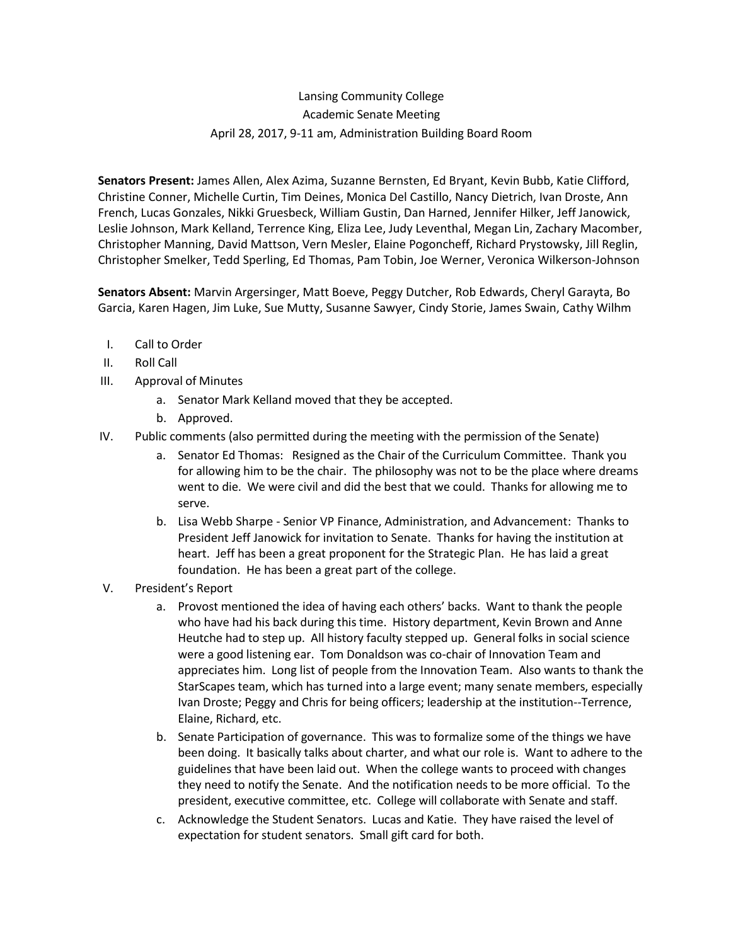## Lansing Community College Academic Senate Meeting April 28, 2017, 9-11 am, Administration Building Board Room

**Senators Present:** James Allen, Alex Azima, Suzanne Bernsten, Ed Bryant, Kevin Bubb, Katie Clifford, Christine Conner, Michelle Curtin, Tim Deines, Monica Del Castillo, Nancy Dietrich, Ivan Droste, Ann French, Lucas Gonzales, Nikki Gruesbeck, William Gustin, Dan Harned, Jennifer Hilker, Jeff Janowick, Leslie Johnson, Mark Kelland, Terrence King, Eliza Lee, Judy Leventhal, Megan Lin, Zachary Macomber, Christopher Manning, David Mattson, Vern Mesler, Elaine Pogoncheff, Richard Prystowsky, Jill Reglin, Christopher Smelker, Tedd Sperling, Ed Thomas, Pam Tobin, Joe Werner, Veronica Wilkerson-Johnson

**Senators Absent:** Marvin Argersinger, Matt Boeve, Peggy Dutcher, Rob Edwards, Cheryl Garayta, Bo Garcia, Karen Hagen, Jim Luke, Sue Mutty, Susanne Sawyer, Cindy Storie, James Swain, Cathy Wilhm

- I. Call to Order
- II. Roll Call
- III. Approval of Minutes
	- a. Senator Mark Kelland moved that they be accepted.
	- b. Approved.
- IV. Public comments (also permitted during the meeting with the permission of the Senate)
	- a. Senator Ed Thomas: Resigned as the Chair of the Curriculum Committee. Thank you for allowing him to be the chair. The philosophy was not to be the place where dreams went to die. We were civil and did the best that we could. Thanks for allowing me to serve.
	- b. Lisa Webb Sharpe Senior VP Finance, Administration, and Advancement: Thanks to President Jeff Janowick for invitation to Senate. Thanks for having the institution at heart. Jeff has been a great proponent for the Strategic Plan. He has laid a great foundation. He has been a great part of the college.
- V. President's Report
	- a. Provost mentioned the idea of having each others' backs. Want to thank the people who have had his back during this time. History department, Kevin Brown and Anne Heutche had to step up. All history faculty stepped up. General folks in social science were a good listening ear. Tom Donaldson was co-chair of Innovation Team and appreciates him. Long list of people from the Innovation Team. Also wants to thank the StarScapes team, which has turned into a large event; many senate members, especially Ivan Droste; Peggy and Chris for being officers; leadership at the institution--Terrence, Elaine, Richard, etc.
	- b. Senate Participation of governance. This was to formalize some of the things we have been doing. It basically talks about charter, and what our role is. Want to adhere to the guidelines that have been laid out. When the college wants to proceed with changes they need to notify the Senate. And the notification needs to be more official. To the president, executive committee, etc. College will collaborate with Senate and staff.
	- c. Acknowledge the Student Senators. Lucas and Katie. They have raised the level of expectation for student senators. Small gift card for both.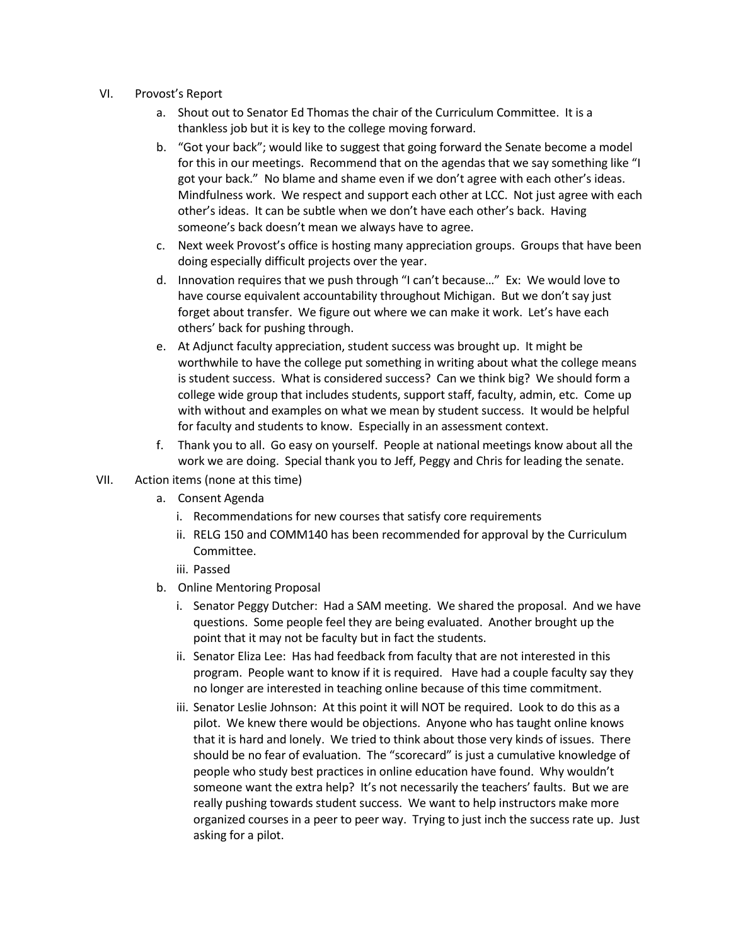- VI. Provost's Report
	- a. Shout out to Senator Ed Thomas the chair of the Curriculum Committee. It is a thankless job but it is key to the college moving forward.
	- b. "Got your back"; would like to suggest that going forward the Senate become a model for this in our meetings. Recommend that on the agendas that we say something like "I got your back." No blame and shame even if we don't agree with each other's ideas. Mindfulness work. We respect and support each other at LCC. Not just agree with each other's ideas. It can be subtle when we don't have each other's back. Having someone's back doesn't mean we always have to agree.
	- c. Next week Provost's office is hosting many appreciation groups. Groups that have been doing especially difficult projects over the year.
	- d. Innovation requires that we push through "I can't because…" Ex: We would love to have course equivalent accountability throughout Michigan. But we don't say just forget about transfer. We figure out where we can make it work. Let's have each others' back for pushing through.
	- e. At Adjunct faculty appreciation, student success was brought up. It might be worthwhile to have the college put something in writing about what the college means is student success. What is considered success? Can we think big? We should form a college wide group that includes students, support staff, faculty, admin, etc. Come up with without and examples on what we mean by student success. It would be helpful for faculty and students to know. Especially in an assessment context.
	- f. Thank you to all. Go easy on yourself. People at national meetings know about all the work we are doing. Special thank you to Jeff, Peggy and Chris for leading the senate.
- VII. Action items (none at this time)
	- a. Consent Agenda
		- i. Recommendations for new courses that satisfy core requirements
		- ii. RELG 150 and COMM140 has been recommended for approval by the Curriculum Committee.
		- iii. Passed
	- b. Online Mentoring Proposal
		- i. Senator Peggy Dutcher: Had a SAM meeting. We shared the proposal. And we have questions. Some people feel they are being evaluated. Another brought up the point that it may not be faculty but in fact the students.
		- ii. Senator Eliza Lee: Has had feedback from faculty that are not interested in this program. People want to know if it is required. Have had a couple faculty say they no longer are interested in teaching online because of this time commitment.
		- iii. Senator Leslie Johnson: At this point it will NOT be required. Look to do this as a pilot. We knew there would be objections. Anyone who has taught online knows that it is hard and lonely. We tried to think about those very kinds of issues. There should be no fear of evaluation. The "scorecard" is just a cumulative knowledge of people who study best practices in online education have found. Why wouldn't someone want the extra help? It's not necessarily the teachers' faults. But we are really pushing towards student success. We want to help instructors make more organized courses in a peer to peer way. Trying to just inch the success rate up. Just asking for a pilot.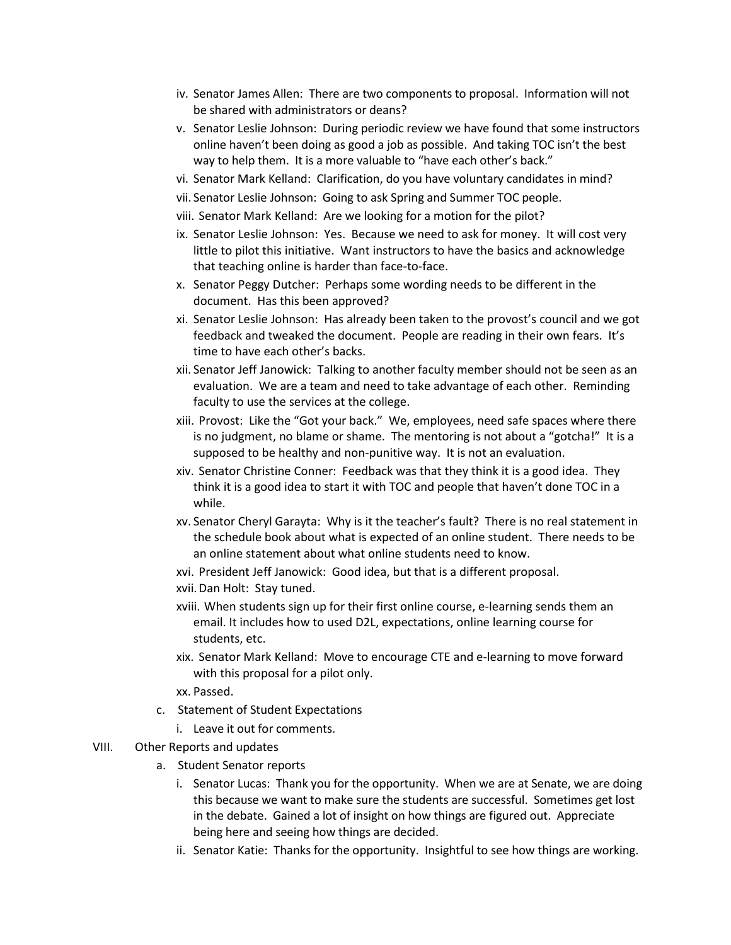- iv. Senator James Allen: There are two components to proposal. Information will not be shared with administrators or deans?
- v. Senator Leslie Johnson: During periodic review we have found that some instructors online haven't been doing as good a job as possible. And taking TOC isn't the best way to help them. It is a more valuable to "have each other's back."
- vi. Senator Mark Kelland: Clarification, do you have voluntary candidates in mind?
- vii. Senator Leslie Johnson: Going to ask Spring and Summer TOC people.
- viii. Senator Mark Kelland: Are we looking for a motion for the pilot?
- ix. Senator Leslie Johnson: Yes. Because we need to ask for money. It will cost very little to pilot this initiative. Want instructors to have the basics and acknowledge that teaching online is harder than face-to-face.
- x. Senator Peggy Dutcher: Perhaps some wording needs to be different in the document. Has this been approved?
- xi. Senator Leslie Johnson: Has already been taken to the provost's council and we got feedback and tweaked the document. People are reading in their own fears. It's time to have each other's backs.
- xii. Senator Jeff Janowick: Talking to another faculty member should not be seen as an evaluation. We are a team and need to take advantage of each other. Reminding faculty to use the services at the college.
- xiii. Provost: Like the "Got your back." We, employees, need safe spaces where there is no judgment, no blame or shame. The mentoring is not about a "gotcha!" It is a supposed to be healthy and non-punitive way. It is not an evaluation.
- xiv. Senator Christine Conner: Feedback was that they think it is a good idea. They think it is a good idea to start it with TOC and people that haven't done TOC in a while.
- xv. Senator Cheryl Garayta: Why is it the teacher's fault? There is no real statement in the schedule book about what is expected of an online student. There needs to be an online statement about what online students need to know.
- xvi. President Jeff Janowick: Good idea, but that is a different proposal.
- xvii.Dan Holt: Stay tuned.
- xviii. When students sign up for their first online course, e-learning sends them an email. It includes how to used D2L, expectations, online learning course for students, etc.
- xix. Senator Mark Kelland: Move to encourage CTE and e-learning to move forward with this proposal for a pilot only.
- xx. Passed.
- c. Statement of Student Expectations
	- i. Leave it out for comments.
- VIII. Other Reports and updates
	- a. Student Senator reports
		- i. Senator Lucas: Thank you for the opportunity. When we are at Senate, we are doing this because we want to make sure the students are successful. Sometimes get lost in the debate. Gained a lot of insight on how things are figured out. Appreciate being here and seeing how things are decided.
		- ii. Senator Katie: Thanks for the opportunity. Insightful to see how things are working.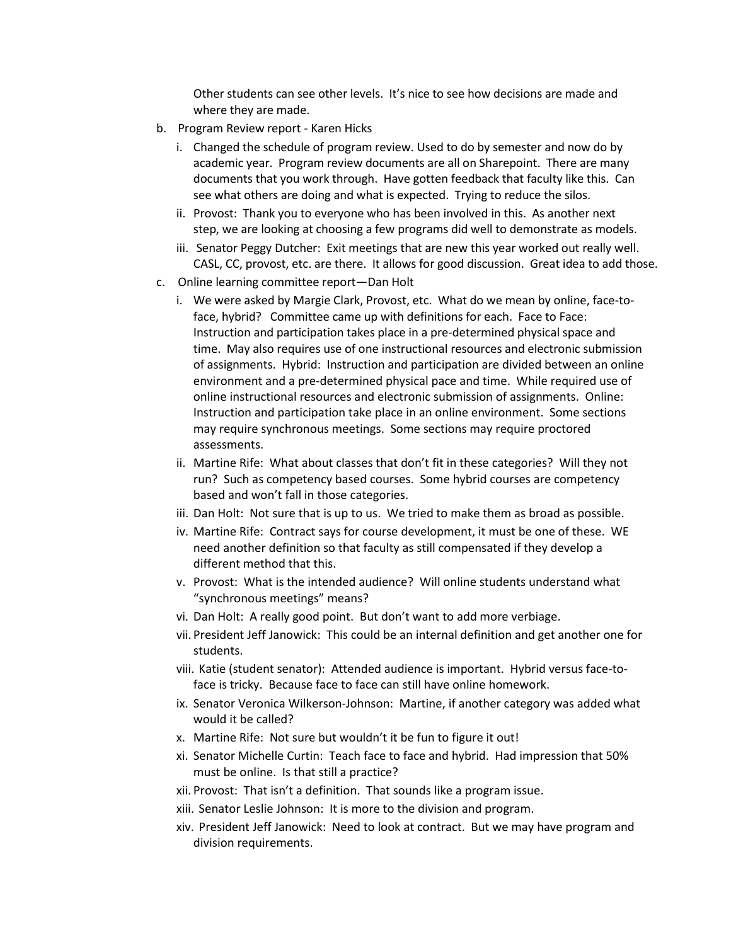Other students can see other levels. It's nice to see how decisions are made and where they are made.

- b. Program Review report Karen Hicks
	- i. Changed the schedule of program review. Used to do by semester and now do by academic year. Program review documents are all on Sharepoint. There are many documents that you work through. Have gotten feedback that faculty like this. Can see what others are doing and what is expected. Trying to reduce the silos.
	- ii. Provost: Thank you to everyone who has been involved in this. As another next step, we are looking at choosing a few programs did well to demonstrate as models.
	- iii. Senator Peggy Dutcher: Exit meetings that are new this year worked out really well. CASL, CC, provost, etc. are there. It allows for good discussion. Great idea to add those.
- c. Online learning committee report—Dan Holt
	- i. We were asked by Margie Clark, Provost, etc. What do we mean by online, face-toface, hybrid? Committee came up with definitions for each. Face to Face: Instruction and participation takes place in a pre-determined physical space and time. May also requires use of one instructional resources and electronic submission of assignments. Hybrid: Instruction and participation are divided between an online environment and a pre-determined physical pace and time. While required use of online instructional resources and electronic submission of assignments. Online: Instruction and participation take place in an online environment. Some sections may require synchronous meetings. Some sections may require proctored assessments.
	- ii. Martine Rife: What about classes that don't fit in these categories? Will they not run? Such as competency based courses. Some hybrid courses are competency based and won't fall in those categories.
	- iii. Dan Holt: Not sure that is up to us. We tried to make them as broad as possible.
	- iv. Martine Rife: Contract says for course development, it must be one of these. WE need another definition so that faculty as still compensated if they develop a different method that this.
	- v. Provost: What is the intended audience? Will online students understand what "synchronous meetings" means?
	- vi. Dan Holt: A really good point. But don't want to add more verbiage.
	- vii. President Jeff Janowick: This could be an internal definition and get another one for students.
	- viii. Katie (student senator): Attended audience is important. Hybrid versus face-toface is tricky. Because face to face can still have online homework.
	- ix. Senator Veronica Wilkerson-Johnson: Martine, if another category was added what would it be called?
	- x. Martine Rife: Not sure but wouldn't it be fun to figure it out!
	- xi. Senator Michelle Curtin: Teach face to face and hybrid. Had impression that 50% must be online. Is that still a practice?
	- xii. Provost: That isn't a definition. That sounds like a program issue.
	- xiii. Senator Leslie Johnson: It is more to the division and program.
	- xiv. President Jeff Janowick: Need to look at contract. But we may have program and division requirements.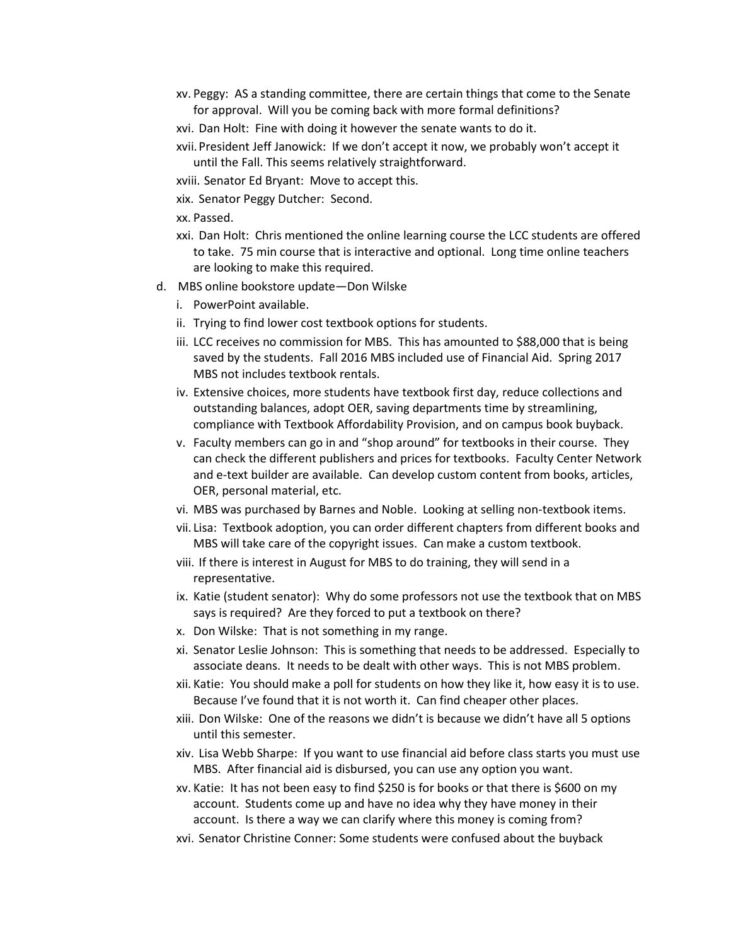- xv. Peggy: AS a standing committee, there are certain things that come to the Senate for approval. Will you be coming back with more formal definitions?
- xvi. Dan Holt: Fine with doing it however the senate wants to do it.
- xvii.President Jeff Janowick: If we don't accept it now, we probably won't accept it until the Fall. This seems relatively straightforward.
- xviii. Senator Ed Bryant: Move to accept this.
- xix. Senator Peggy Dutcher: Second.
- xx. Passed.
- xxi. Dan Holt: Chris mentioned the online learning course the LCC students are offered to take. 75 min course that is interactive and optional. Long time online teachers are looking to make this required.
- d. MBS online bookstore update—Don Wilske
	- i. PowerPoint available.
	- ii. Trying to find lower cost textbook options for students.
	- iii. LCC receives no commission for MBS. This has amounted to \$88,000 that is being saved by the students. Fall 2016 MBS included use of Financial Aid. Spring 2017 MBS not includes textbook rentals.
	- iv. Extensive choices, more students have textbook first day, reduce collections and outstanding balances, adopt OER, saving departments time by streamlining, compliance with Textbook Affordability Provision, and on campus book buyback.
	- v. Faculty members can go in and "shop around" for textbooks in their course. They can check the different publishers and prices for textbooks. Faculty Center Network and e-text builder are available. Can develop custom content from books, articles, OER, personal material, etc.
	- vi. MBS was purchased by Barnes and Noble. Looking at selling non-textbook items.
	- vii. Lisa: Textbook adoption, you can order different chapters from different books and MBS will take care of the copyright issues. Can make a custom textbook.
	- viii. If there is interest in August for MBS to do training, they will send in a representative.
	- ix. Katie (student senator): Why do some professors not use the textbook that on MBS says is required? Are they forced to put a textbook on there?
	- x. Don Wilske: That is not something in my range.
	- xi. Senator Leslie Johnson: This is something that needs to be addressed. Especially to associate deans. It needs to be dealt with other ways. This is not MBS problem.
	- xii. Katie: You should make a poll for students on how they like it, how easy it is to use. Because I've found that it is not worth it. Can find cheaper other places.
	- xiii. Don Wilske: One of the reasons we didn't is because we didn't have all 5 options until this semester.
	- xiv. Lisa Webb Sharpe: If you want to use financial aid before class starts you must use MBS. After financial aid is disbursed, you can use any option you want.
	- xv. Katie: It has not been easy to find \$250 is for books or that there is \$600 on my account. Students come up and have no idea why they have money in their account. Is there a way we can clarify where this money is coming from?
	- xvi. Senator Christine Conner: Some students were confused about the buyback